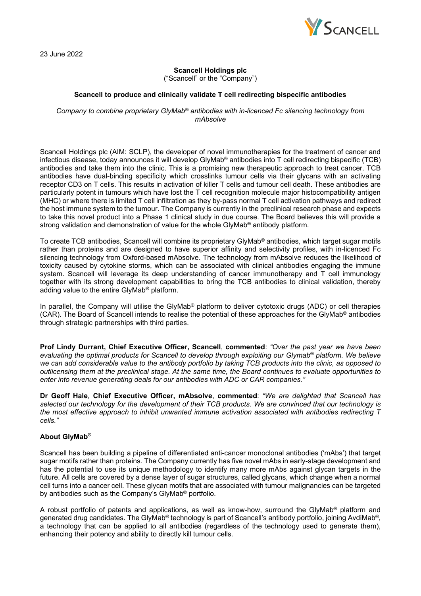

23 June 2022

# **Scancell Holdings plc**

("Scancell" or the "Company")

# **Scancell to produce and clinically validate T cell redirecting bispecific antibodies**

*Company to combine proprietary GlyMab® antibodies with in-licenced Fc silencing technology from mAbsolve* 

Scancell Holdings plc (AIM: SCLP), the developer of novel immunotherapies for the treatment of cancer and infectious disease, today announces it will develop GlyMab® antibodies into T cell redirecting bispecific (TCB) antibodies and take them into the clinic. This is a promising new therapeutic approach to treat cancer. TCB antibodies have dual-binding specificity which crosslinks tumour cells via their glycans with an activating receptor CD3 on T cells. This results in activation of killer T cells and tumour cell death. These antibodies are particularly potent in tumours which have lost the T cell recognition molecule major histocompatibility antigen (MHC) or where there is limited T cell infiltration as they by-pass normal T cell activation pathways and redirect the host immune system to the tumour. The Company is currently in the preclinical research phase and expects to take this novel product into a Phase 1 clinical study in due course. The Board believes this will provide a strong validation and demonstration of value for the whole GlyMab® antibody platform.

To create TCB antibodies, Scancell will combine its proprietary GlyMab® antibodies, which target sugar motifs rather than proteins and are designed to have superior affinity and selectivity profiles, with in-licenced Fc silencing technology from Oxford-based mAbsolve. The technology from mAbsolve reduces the likelihood of toxicity caused by cytokine storms, which can be associated with clinical antibodies engaging the immune system. Scancell will leverage its deep understanding of cancer immunotherapy and T cell immunology together with its strong development capabilities to bring the TCB antibodies to clinical validation, thereby adding value to the entire GlyMab® platform.

In parallel, the Company will utilise the GlyMab<sup>®</sup> platform to deliver cytotoxic drugs (ADC) or cell therapies (CAR). The Board of Scancell intends to realise the potential of these approaches for the GlyMab® antibodies through strategic partnerships with third parties.

**Prof Lindy Durrant, Chief Executive Officer, Scancell**, **commented**: *"Over the past year we have been evaluating the optimal products for Scancell to develop through exploiting our Glymab® platform. We believe we can add considerable value to the antibody portfolio by taking TCB products into the clinic, as opposed to outlicensing them at the preclinical stage. At the same time, the Board continues to evaluate opportunities to enter into revenue generating deals for our antibodies with ADC or CAR companies."*

**Dr Geoff Hale**, **Chief Executive Officer, mAbsolve**, **commented**: *"We are delighted that Scancell has selected our technology for the development of their TCB products. We are convinced that our technology is the most effective approach to inhibit unwanted immune activation associated with antibodies redirecting T cells."*

### **About GlyMab®**

Scancell has been building a pipeline of differentiated anti-cancer monoclonal antibodies ('mAbs') that target sugar motifs rather than proteins. The Company currently has five novel mAbs in early-stage development and has the potential to use its unique methodology to identify many more mAbs against glycan targets in the future. All cells are covered by a dense layer of sugar structures, called glycans, which change when a normal cell turns into a cancer cell. These glycan motifs that are associated with tumour malignancies can be targeted by antibodies such as the Company's GlyMab® portfolio.

A robust portfolio of patents and applications, as well as know-how, surround the GlyMab® platform and generated drug candidates. The GlyMab® technology is part of Scancell's antibody portfolio, joining AvdiMab®, a technology that can be applied to all antibodies (regardless of the technology used to generate them), enhancing their potency and ability to directly kill tumour cells.